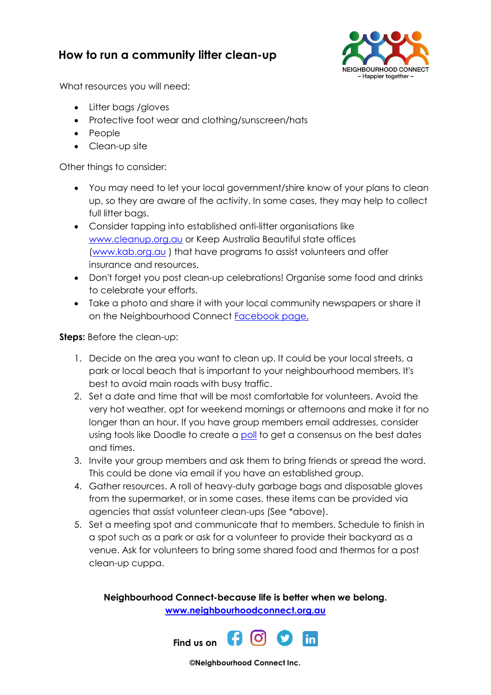## **How to run a community litter clean-up**



What resources you will need:

- Litter bags / gloves
- Protective foot wear and clothing/sunscreen/hats
- People
- Clean-up site

Other things to consider:

- You may need to let your local government/shire know of your plans to clean up, so they are aware of the activity. In some cases, they may help to collect full litter bags.
- Consider tapping into established anti-litter organisations like [www.cleanup.org.au](file:///C:/Users/Maureen/Desktop/www.cleanup.org.au/au) or Keep Australia Beautiful state offices [\(www.kab.org.au](file:///C:/Users/Maureen/Desktop/www.kab.org.au) ) that have programs to assist volunteers and offer insurance and resources.
- Don't forget you post clean-up celebrations! Organise some food and drinks to celebrate your efforts.
- Take a photo and share it with your local community newspapers or share it on the Neighbourhood Connect **[Facebook page.](https://www.facebook.com/streetbystreet/?ref=hl)**

**Steps:** Before the clean-up:

- 1. Decide on the area you want to clean up. It could be your local streets, a park or local beach that is important to your neighbourhood members. It's best to avoid main roads with busy traffic.
- 2. Set a date and time that will be most comfortable for volunteers. Avoid the very hot weather, opt for weekend mornings or afternoons and make it for no longer than an hour. If you have group members email addresses, consider using tools like Doodle to create a [poll](https://doodle.com/free-poll) to get a consensus on the best dates and times.
- 3. Invite your group members and ask them to bring friends or spread the word. This could be done via email if you have an established group.
- 4. Gather resources. A roll of heavy-duty garbage bags and disposable gloves from the supermarket, or in some cases, these items can be provided via agencies that assist volunteer clean-ups (See \*above).
- 5. Set a meeting spot and communicate that to members. Schedule to finish in a spot such as a park or ask for a volunteer to provide their backyard as a venue. Ask for volunteers to bring some shared food and thermos for a post clean-up cuppa.

**Neighbourhood Connect-because life is better when we belong. [www.neighbourhoodconnect.org.au](http://www.neighbourhoodconnect.org.au/)**



**©Neighbourhood Connect Inc.**